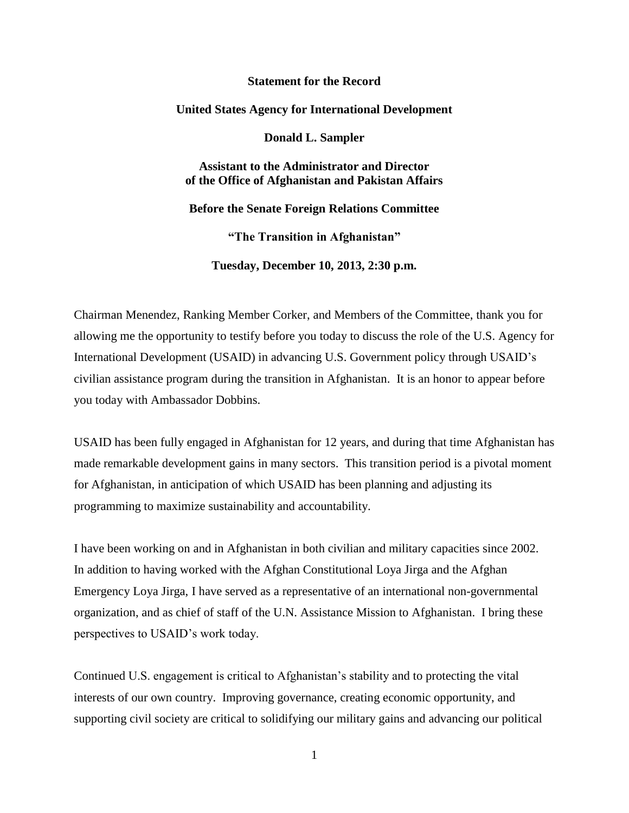# **Statement for the Record**

#### **United States Agency for International Development**

**Donald L. Sampler**

**Assistant to the Administrator and Director of the Office of Afghanistan and Pakistan Affairs** 

**Before the Senate Foreign Relations Committee**

**"The Transition in Afghanistan"**

**Tuesday, December 10, 2013, 2:30 p.m.**

Chairman Menendez, Ranking Member Corker, and Members of the Committee, thank you for allowing me the opportunity to testify before you today to discuss the role of the U.S. Agency for International Development (USAID) in advancing U.S. Government policy through USAID's civilian assistance program during the transition in Afghanistan. It is an honor to appear before you today with Ambassador Dobbins.

USAID has been fully engaged in Afghanistan for 12 years, and during that time Afghanistan has made remarkable development gains in many sectors. This transition period is a pivotal moment for Afghanistan, in anticipation of which USAID has been planning and adjusting its programming to maximize sustainability and accountability.

I have been working on and in Afghanistan in both civilian and military capacities since 2002. In addition to having worked with the Afghan Constitutional Loya Jirga and the Afghan Emergency Loya Jirga, I have served as a representative of an international non-governmental organization, and as chief of staff of the U.N. Assistance Mission to Afghanistan. I bring these perspectives to USAID's work today.

Continued U.S. engagement is critical to Afghanistan's stability and to protecting the vital interests of our own country. Improving governance, creating economic opportunity, and supporting civil society are critical to solidifying our military gains and advancing our political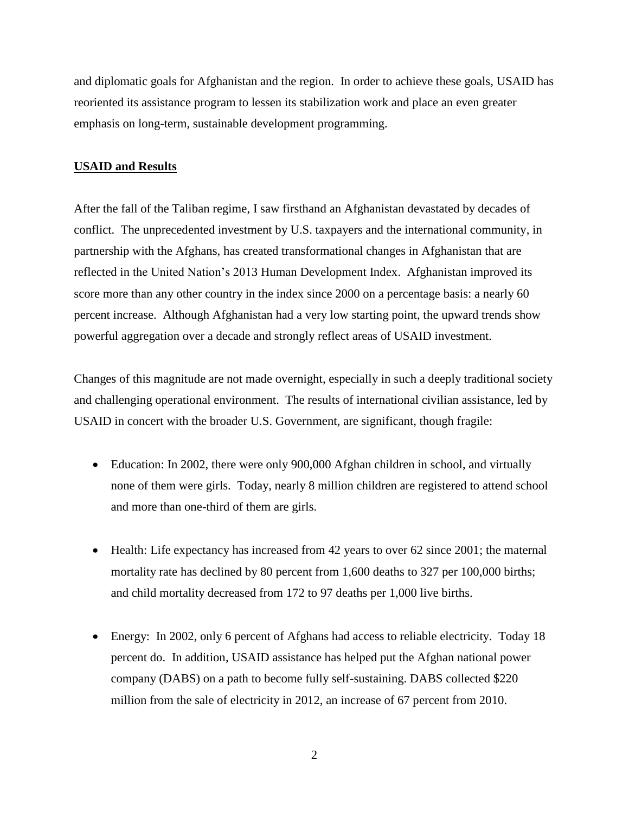and diplomatic goals for Afghanistan and the region. In order to achieve these goals, USAID has reoriented its assistance program to lessen its stabilization work and place an even greater emphasis on long-term, sustainable development programming.

# **USAID and Results**

After the fall of the Taliban regime, I saw firsthand an Afghanistan devastated by decades of conflict. The unprecedented investment by U.S. taxpayers and the international community, in partnership with the Afghans, has created transformational changes in Afghanistan that are reflected in the United Nation's 2013 Human Development Index. Afghanistan improved its score more than any other country in the index since 2000 on a percentage basis: a nearly 60 percent increase. Although Afghanistan had a very low starting point, the upward trends show powerful aggregation over a decade and strongly reflect areas of USAID investment.

Changes of this magnitude are not made overnight, especially in such a deeply traditional society and challenging operational environment. The results of international civilian assistance, led by USAID in concert with the broader U.S. Government, are significant, though fragile:

- Education: In 2002, there were only 900,000 Afghan children in school, and virtually none of them were girls. Today, nearly 8 million children are registered to attend school and more than one-third of them are girls.
- Health: Life expectancy has increased from 42 years to over 62 since 2001; the maternal mortality rate has declined by 80 percent from 1,600 deaths to 327 per 100,000 births; and child mortality decreased from 172 to 97 deaths per 1,000 live births.
- Energy: In 2002, only 6 percent of Afghans had access to reliable electricity. Today 18 percent do. In addition, USAID assistance has helped put the Afghan national power company (DABS) on a path to become fully self-sustaining. DABS collected \$220 million from the sale of electricity in 2012, an increase of 67 percent from 2010.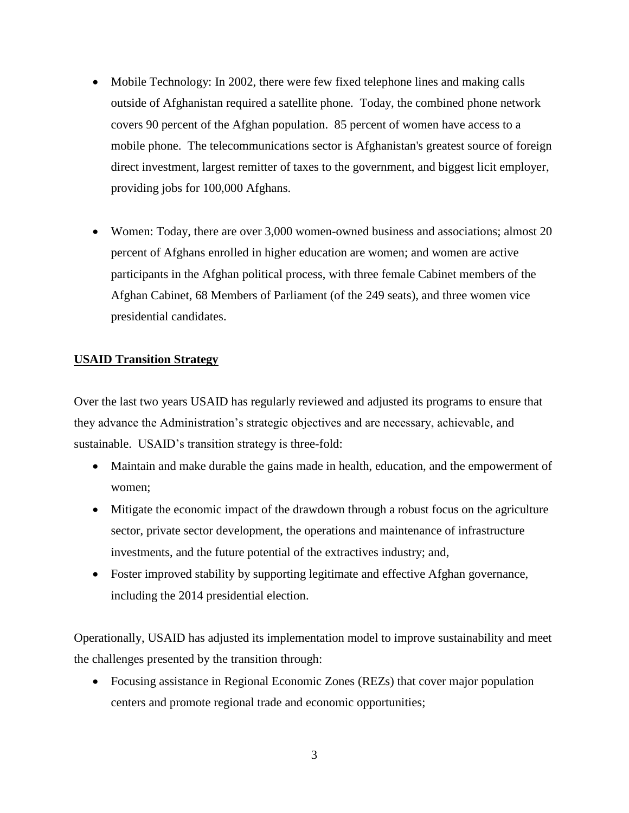- Mobile Technology: In 2002, there were few fixed telephone lines and making calls outside of Afghanistan required a satellite phone. Today, the combined phone network covers 90 percent of the Afghan population. 85 percent of women have access to a mobile phone. The telecommunications sector is Afghanistan's greatest source of foreign direct investment, largest remitter of taxes to the government, and biggest licit employer, providing jobs for 100,000 Afghans.
- Women: Today, there are over 3,000 women-owned business and associations; almost 20 percent of Afghans enrolled in higher education are women; and women are active participants in the Afghan political process, with three female Cabinet members of the Afghan Cabinet, 68 Members of Parliament (of the 249 seats), and three women vice presidential candidates.

# **USAID Transition Strategy**

Over the last two years USAID has regularly reviewed and adjusted its programs to ensure that they advance the Administration's strategic objectives and are necessary, achievable, and sustainable. USAID's transition strategy is three-fold:

- Maintain and make durable the gains made in health, education, and the empowerment of women;
- Mitigate the economic impact of the drawdown through a robust focus on the agriculture sector, private sector development, the operations and maintenance of infrastructure investments, and the future potential of the extractives industry; and,
- Foster improved stability by supporting legitimate and effective Afghan governance, including the 2014 presidential election.

Operationally, USAID has adjusted its implementation model to improve sustainability and meet the challenges presented by the transition through:

 Focusing assistance in Regional Economic Zones (REZs) that cover major population centers and promote regional trade and economic opportunities;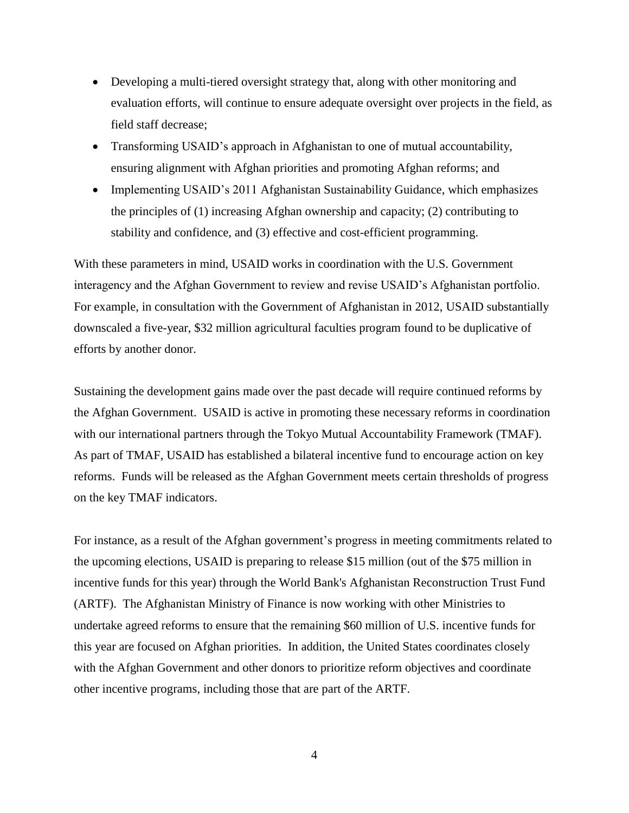- Developing a multi-tiered oversight strategy that, along with other monitoring and evaluation efforts, will continue to ensure adequate oversight over projects in the field, as field staff decrease;
- Transforming USAID's approach in Afghanistan to one of mutual accountability, ensuring alignment with Afghan priorities and promoting Afghan reforms; and
- Implementing USAID's 2011 Afghanistan Sustainability Guidance, which emphasizes the principles of (1) increasing Afghan ownership and capacity; (2) contributing to stability and confidence, and (3) effective and cost-efficient programming.

With these parameters in mind, USAID works in coordination with the U.S. Government interagency and the Afghan Government to review and revise USAID's Afghanistan portfolio. For example, in consultation with the Government of Afghanistan in 2012, USAID substantially downscaled a five-year, \$32 million agricultural faculties program found to be duplicative of efforts by another donor.

Sustaining the development gains made over the past decade will require continued reforms by the Afghan Government. USAID is active in promoting these necessary reforms in coordination with our international partners through the Tokyo Mutual Accountability Framework (TMAF). As part of TMAF, USAID has established a bilateral incentive fund to encourage action on key reforms. Funds will be released as the Afghan Government meets certain thresholds of progress on the key TMAF indicators.

For instance, as a result of the Afghan government's progress in meeting commitments related to the upcoming elections, USAID is preparing to release \$15 million (out of the \$75 million in incentive funds for this year) through the World Bank's Afghanistan Reconstruction Trust Fund (ARTF). The Afghanistan Ministry of Finance is now working with other Ministries to undertake agreed reforms to ensure that the remaining \$60 million of U.S. incentive funds for this year are focused on Afghan priorities. In addition, the United States coordinates closely with the Afghan Government and other donors to prioritize reform objectives and coordinate other incentive programs, including those that are part of the ARTF.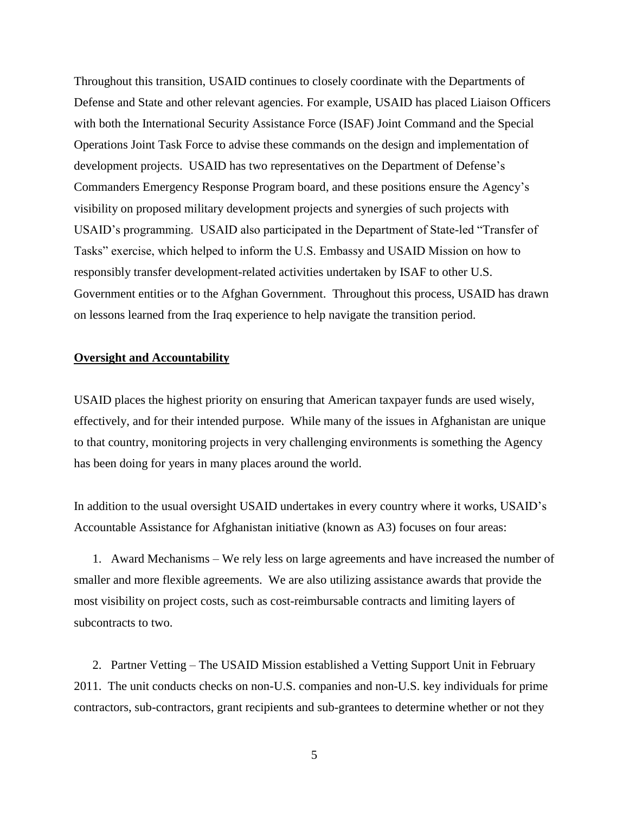Throughout this transition, USAID continues to closely coordinate with the Departments of Defense and State and other relevant agencies. For example, USAID has placed Liaison Officers with both the International Security Assistance Force (ISAF) Joint Command and the Special Operations Joint Task Force to advise these commands on the design and implementation of development projects. USAID has two representatives on the Department of Defense's Commanders Emergency Response Program board, and these positions ensure the Agency's visibility on proposed military development projects and synergies of such projects with USAID's programming. USAID also participated in the Department of State-led "Transfer of Tasks" exercise, which helped to inform the U.S. Embassy and USAID Mission on how to responsibly transfer development-related activities undertaken by ISAF to other U.S. Government entities or to the Afghan Government. Throughout this process, USAID has drawn on lessons learned from the Iraq experience to help navigate the transition period.

# **Oversight and Accountability**

USAID places the highest priority on ensuring that American taxpayer funds are used wisely, effectively, and for their intended purpose. While many of the issues in Afghanistan are unique to that country, monitoring projects in very challenging environments is something the Agency has been doing for years in many places around the world.

In addition to the usual oversight USAID undertakes in every country where it works, USAID's Accountable Assistance for Afghanistan initiative (known as A3) focuses on four areas:

1. Award Mechanisms – We rely less on large agreements and have increased the number of smaller and more flexible agreements. We are also utilizing assistance awards that provide the most visibility on project costs, such as cost-reimbursable contracts and limiting layers of subcontracts to two.

2. Partner Vetting – The USAID Mission established a Vetting Support Unit in February 2011. The unit conducts checks on non-U.S. companies and non-U.S. key individuals for prime contractors, sub-contractors, grant recipients and sub-grantees to determine whether or not they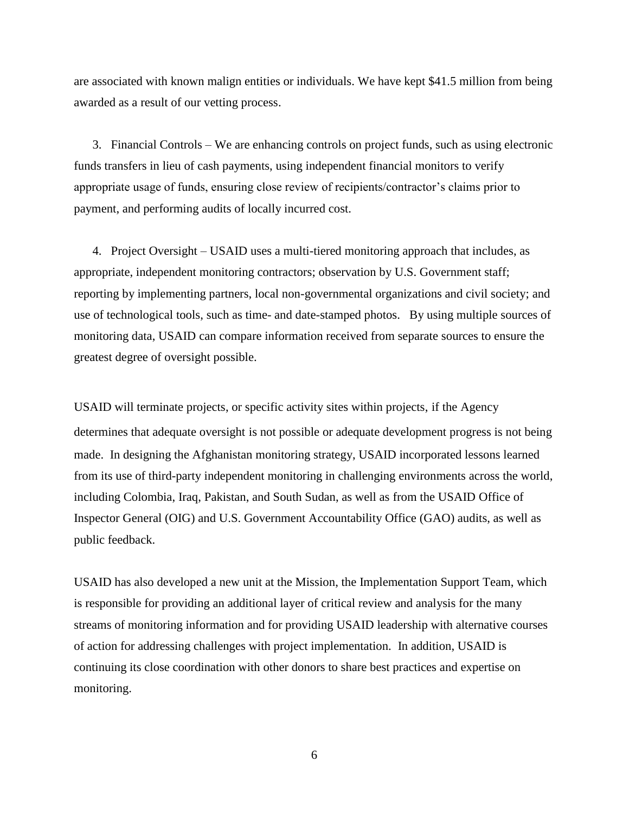are associated with known malign entities or individuals. We have kept \$41.5 million from being awarded as a result of our vetting process.

3. Financial Controls – We are enhancing controls on project funds, such as using electronic funds transfers in lieu of cash payments, using independent financial monitors to verify appropriate usage of funds, ensuring close review of recipients/contractor's claims prior to payment, and performing audits of locally incurred cost.

4. Project Oversight – USAID uses a multi-tiered monitoring approach that includes, as appropriate, independent monitoring contractors; observation by U.S. Government staff; reporting by implementing partners, local non-governmental organizations and civil society; and use of technological tools, such as time- and date-stamped photos. By using multiple sources of monitoring data, USAID can compare information received from separate sources to ensure the greatest degree of oversight possible.

USAID will terminate projects, or specific activity sites within projects, if the Agency determines that adequate oversight is not possible or adequate development progress is not being made. In designing the Afghanistan monitoring strategy, USAID incorporated lessons learned from its use of third-party independent monitoring in challenging environments across the world, including Colombia, Iraq, Pakistan, and South Sudan, as well as from the USAID Office of Inspector General (OIG) and U.S. Government Accountability Office (GAO) audits, as well as public feedback.

USAID has also developed a new unit at the Mission, the Implementation Support Team, which is responsible for providing an additional layer of critical review and analysis for the many streams of monitoring information and for providing USAID leadership with alternative courses of action for addressing challenges with project implementation. In addition, USAID is continuing its close coordination with other donors to share best practices and expertise on monitoring.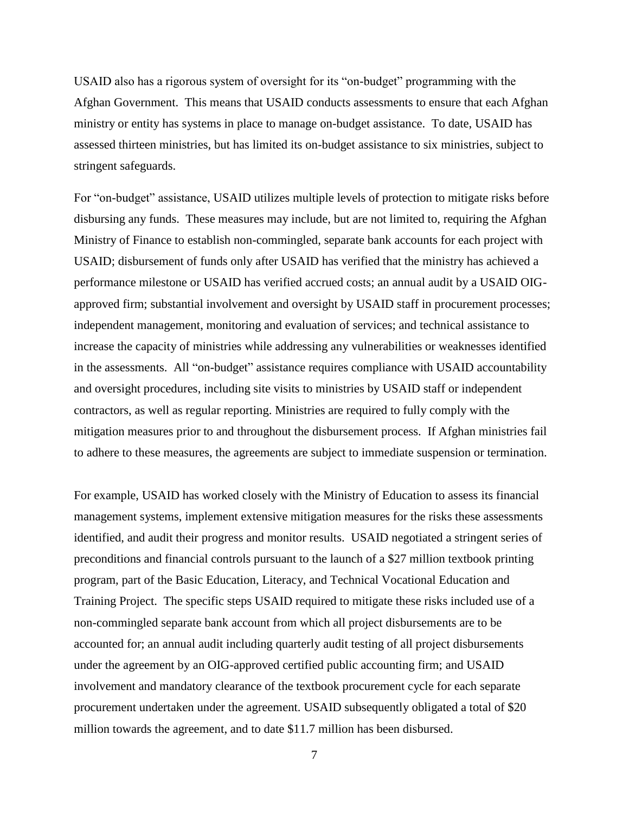USAID also has a rigorous system of oversight for its "on-budget" programming with the Afghan Government. This means that USAID conducts assessments to ensure that each Afghan ministry or entity has systems in place to manage on-budget assistance. To date, USAID has assessed thirteen ministries, but has limited its on-budget assistance to six ministries, subject to stringent safeguards.

For "on-budget" assistance, USAID utilizes multiple levels of protection to mitigate risks before disbursing any funds. These measures may include, but are not limited to, requiring the Afghan Ministry of Finance to establish non-commingled, separate bank accounts for each project with USAID; disbursement of funds only after USAID has verified that the ministry has achieved a performance milestone or USAID has verified accrued costs; an annual audit by a USAID OIGapproved firm; substantial involvement and oversight by USAID staff in procurement processes; independent management, monitoring and evaluation of services; and technical assistance to increase the capacity of ministries while addressing any vulnerabilities or weaknesses identified in the assessments. All "on-budget" assistance requires compliance with USAID accountability and oversight procedures, including site visits to ministries by USAID staff or independent contractors, as well as regular reporting. Ministries are required to fully comply with the mitigation measures prior to and throughout the disbursement process. If Afghan ministries fail to adhere to these measures, the agreements are subject to immediate suspension or termination.

For example, USAID has worked closely with the Ministry of Education to assess its financial management systems, implement extensive mitigation measures for the risks these assessments identified, and audit their progress and monitor results. USAID negotiated a stringent series of preconditions and financial controls pursuant to the launch of a \$27 million textbook printing program, part of the Basic Education, Literacy, and Technical Vocational Education and Training Project. The specific steps USAID required to mitigate these risks included use of a non-commingled separate bank account from which all project disbursements are to be accounted for; an annual audit including quarterly audit testing of all project disbursements under the agreement by an OIG-approved certified public accounting firm; and USAID involvement and mandatory clearance of the textbook procurement cycle for each separate procurement undertaken under the agreement. USAID subsequently obligated a total of \$20 million towards the agreement, and to date \$11.7 million has been disbursed.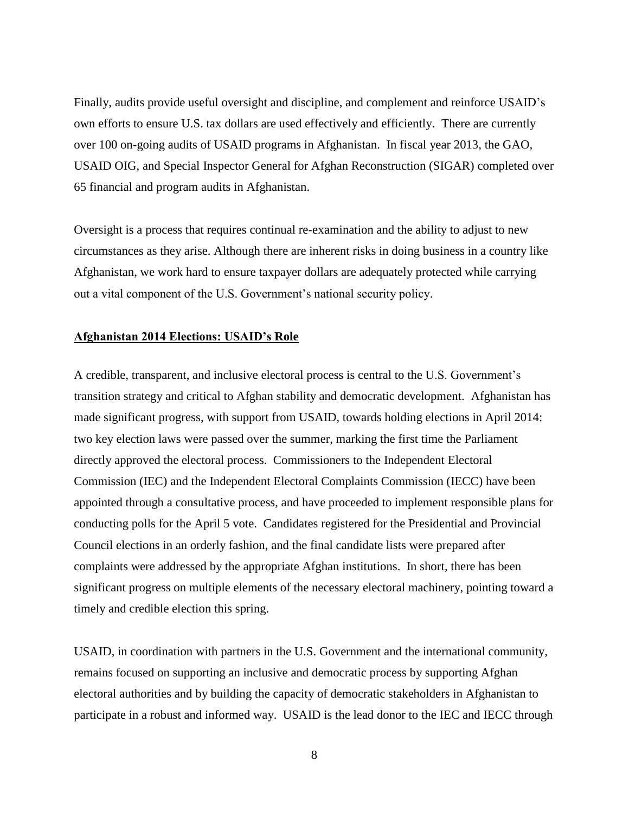Finally, audits provide useful oversight and discipline, and complement and reinforce USAID's own efforts to ensure U.S. tax dollars are used effectively and efficiently. There are currently over 100 on-going audits of USAID programs in Afghanistan. In fiscal year 2013, the GAO, USAID OIG, and Special Inspector General for Afghan Reconstruction (SIGAR) completed over 65 financial and program audits in Afghanistan.

Oversight is a process that requires continual re-examination and the ability to adjust to new circumstances as they arise. Although there are inherent risks in doing business in a country like Afghanistan, we work hard to ensure taxpayer dollars are adequately protected while carrying out a vital component of the U.S. Government's national security policy.

# **Afghanistan 2014 Elections: USAID's Role**

A credible, transparent, and inclusive electoral process is central to the U.S. Government's transition strategy and critical to Afghan stability and democratic development. Afghanistan has made significant progress, with support from USAID, towards holding elections in April 2014: two key election laws were passed over the summer, marking the first time the Parliament directly approved the electoral process. Commissioners to the Independent Electoral Commission (IEC) and the Independent Electoral Complaints Commission (IECC) have been appointed through a consultative process, and have proceeded to implement responsible plans for conducting polls for the April 5 vote. Candidates registered for the Presidential and Provincial Council elections in an orderly fashion, and the final candidate lists were prepared after complaints were addressed by the appropriate Afghan institutions. In short, there has been significant progress on multiple elements of the necessary electoral machinery, pointing toward a timely and credible election this spring.

USAID, in coordination with partners in the U.S. Government and the international community, remains focused on supporting an inclusive and democratic process by supporting Afghan electoral authorities and by building the capacity of democratic stakeholders in Afghanistan to participate in a robust and informed way. USAID is the lead donor to the IEC and IECC through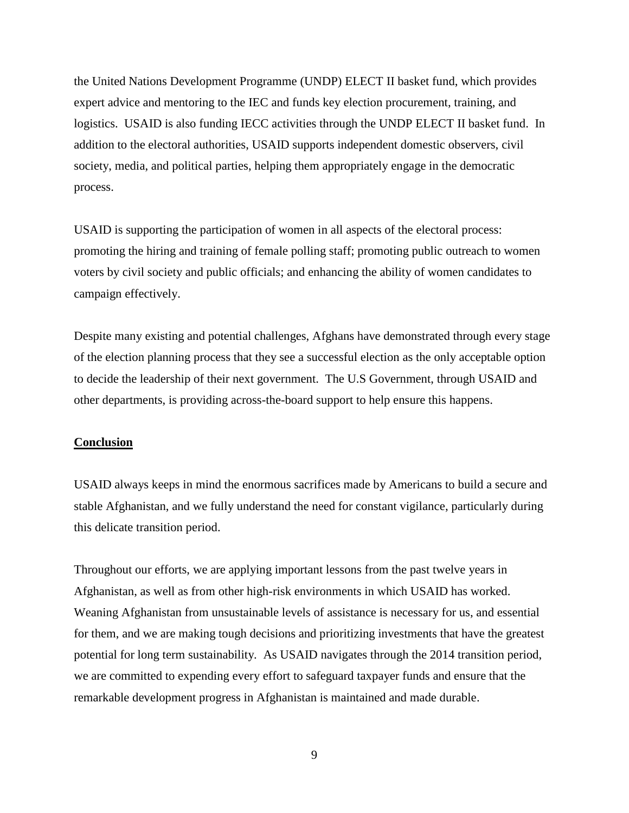the United Nations Development Programme (UNDP) ELECT II basket fund, which provides expert advice and mentoring to the IEC and funds key election procurement, training, and logistics. USAID is also funding IECC activities through the UNDP ELECT II basket fund. In addition to the electoral authorities, USAID supports independent domestic observers, civil society, media, and political parties, helping them appropriately engage in the democratic process.

USAID is supporting the participation of women in all aspects of the electoral process: promoting the hiring and training of female polling staff; promoting public outreach to women voters by civil society and public officials; and enhancing the ability of women candidates to campaign effectively.

Despite many existing and potential challenges, Afghans have demonstrated through every stage of the election planning process that they see a successful election as the only acceptable option to decide the leadership of their next government. The U.S Government, through USAID and other departments, is providing across-the-board support to help ensure this happens.

## **Conclusion**

USAID always keeps in mind the enormous sacrifices made by Americans to build a secure and stable Afghanistan, and we fully understand the need for constant vigilance, particularly during this delicate transition period.

Throughout our efforts, we are applying important lessons from the past twelve years in Afghanistan, as well as from other high-risk environments in which USAID has worked. Weaning Afghanistan from unsustainable levels of assistance is necessary for us, and essential for them, and we are making tough decisions and prioritizing investments that have the greatest potential for long term sustainability. As USAID navigates through the 2014 transition period, we are committed to expending every effort to safeguard taxpayer funds and ensure that the remarkable development progress in Afghanistan is maintained and made durable.